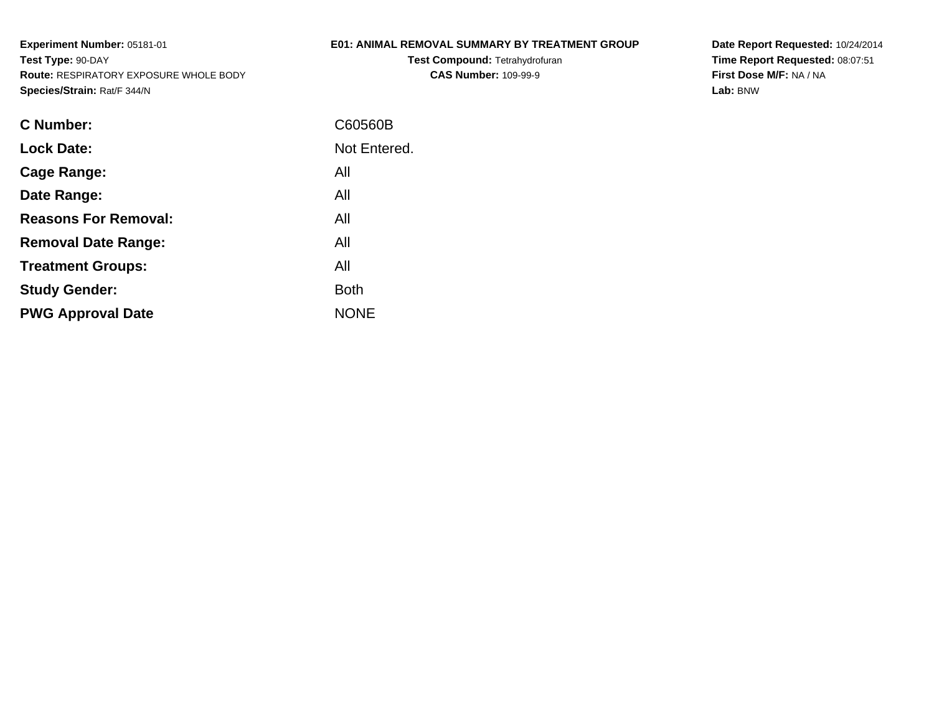# **E01: ANIMAL REMOVAL SUMMARY BY TREATMENT GROUP**

**Test Compound:** Tetrahydrofuran**CAS Number:** 109-99-9

**Date Report Requested:** 10/24/2014 **Time Report Requested:** 08:07:51**First Dose M/F:** NA / NA**Lab:** BNW

| C Number:                   | C60560B      |
|-----------------------------|--------------|
| <b>Lock Date:</b>           | Not Entered. |
| Cage Range:                 | All          |
| Date Range:                 | All          |
| <b>Reasons For Removal:</b> | All          |
| <b>Removal Date Range:</b>  | All          |
| <b>Treatment Groups:</b>    | All          |
| <b>Study Gender:</b>        | <b>Both</b>  |
| <b>PWG Approval Date</b>    | <b>NONE</b>  |
|                             |              |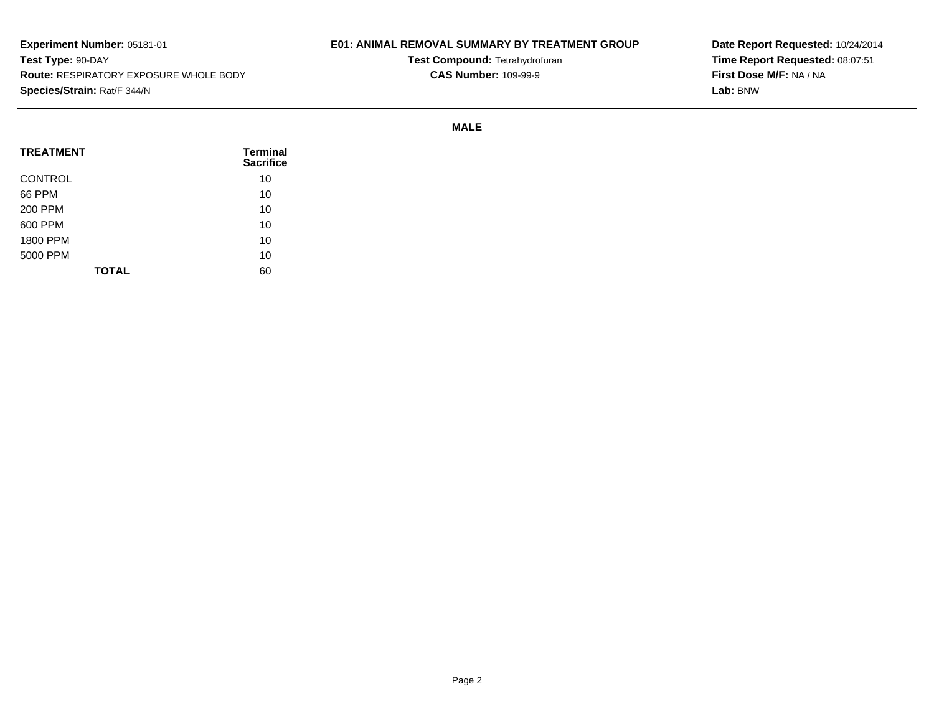# **E01: ANIMAL REMOVAL SUMMARY BY TREATMENT GROUP**

**Test Compound:** Tetrahydrofuran**CAS Number:** 109-99-9

**Date Report Requested:** 10/24/2014**Time Report Requested:** 08:07:51**First Dose M/F:** NA / NA**Lab:** BNW

#### **MALE**

| <b>TREATMENT</b> | Terminal<br><b>Sacrifice</b> |
|------------------|------------------------------|
| CONTROL          | 10                           |
| 66 PPM           | 10                           |
| 200 PPM          | 10                           |
| 600 PPM          | 10                           |
| 1800 PPM         | 10                           |
| 5000 PPM         | 10                           |
| <b>TOTAL</b>     | 60                           |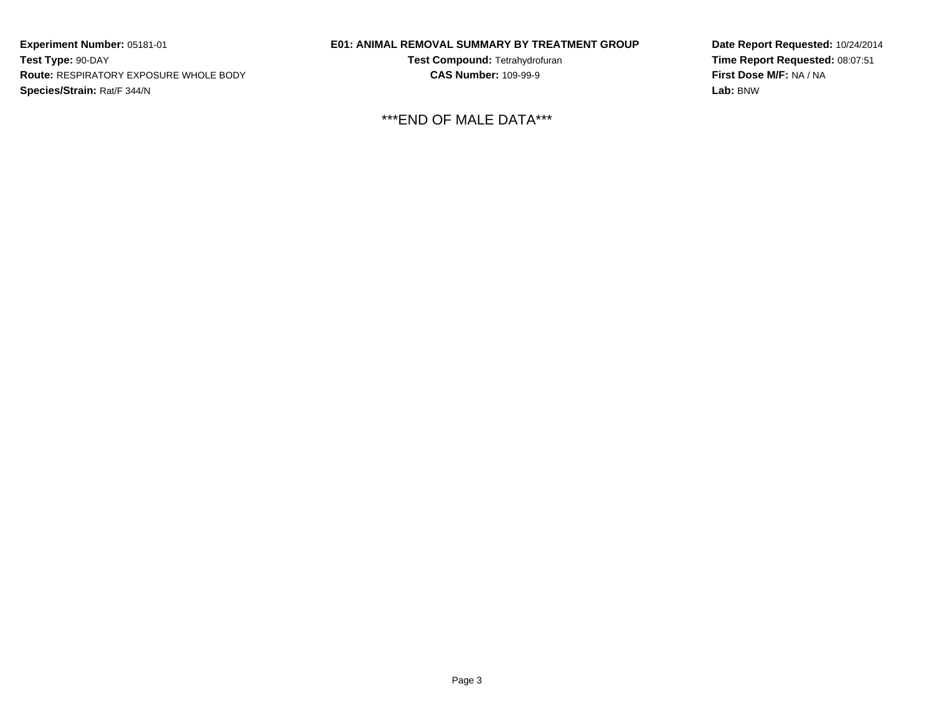### **E01: ANIMAL REMOVAL SUMMARY BY TREATMENT GROUP**

**Test Compound:** Tetrahydrofuran**CAS Number:** 109-99-9

\*\*\*END OF MALE DATA\*\*\*

**Date Report Requested:** 10/24/2014**Time Report Requested:** 08:07:51**First Dose M/F:** NA / NA**Lab:** BNW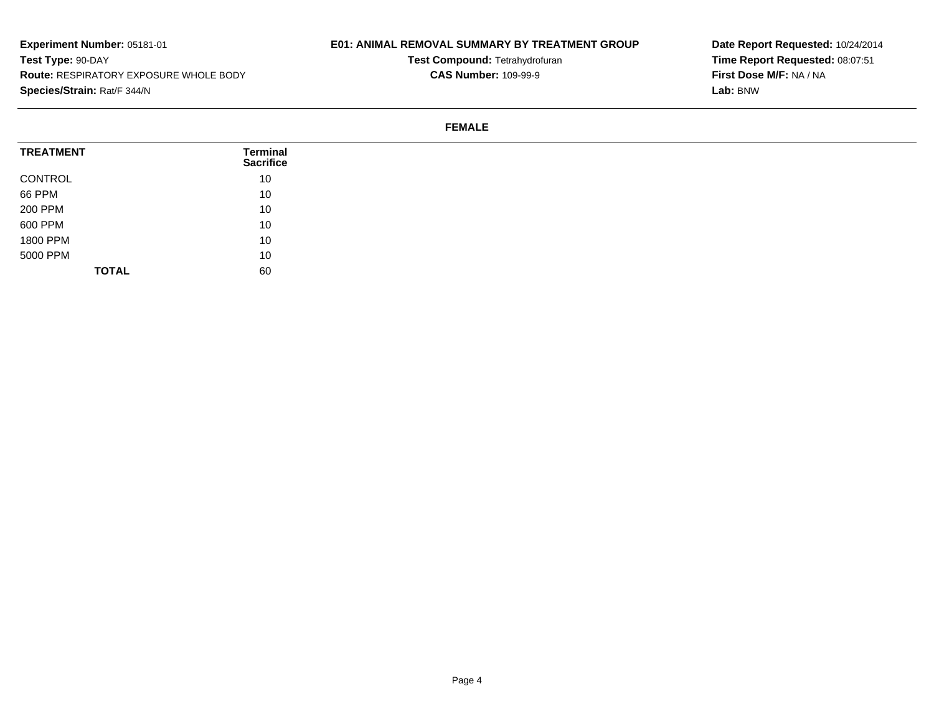# **E01: ANIMAL REMOVAL SUMMARY BY TREATMENT GROUP**

**Test Compound:** Tetrahydrofuran**CAS Number:** 109-99-9

**Date Report Requested:** 10/24/2014**Time Report Requested:** 08:07:51**First Dose M/F:** NA / NA**Lab:** BNW

#### **FEMALE**

| <b>TREATMENT</b> | Terminal<br><b>Sacrifice</b> |
|------------------|------------------------------|
| CONTROL          | 10                           |
| 66 PPM           | 10                           |
| 200 PPM          | 10                           |
| 600 PPM          | 10                           |
| 1800 PPM         | 10                           |
| 5000 PPM         | 10                           |
| <b>TOTAL</b>     | 60                           |